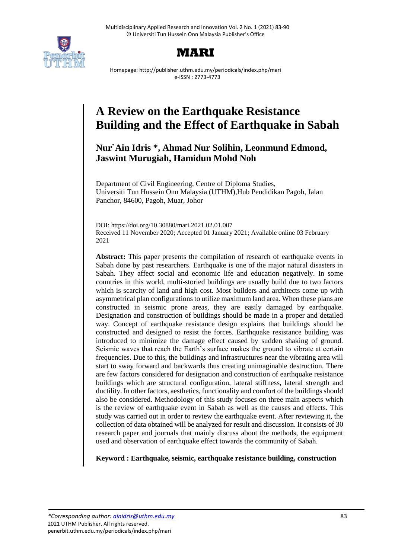



Homepage: http://publisher.uthm.edu.my/periodicals/index.php/mari e-ISSN : 2773-4773

# **A Review on the Earthquake Resistance Building and the Effect of Earthquake in Sabah**

# **Nur`Ain Idris \*, Ahmad Nur Solihin, Leonmund Edmond, Jaswint Murugiah, Hamidun Mohd Noh**

Department of Civil Engineering, Centre of Diploma Studies, Universiti Tun Hussein Onn Malaysia (UTHM),Hub Pendidikan Pagoh, Jalan Panchor, 84600, Pagoh, Muar, Johor

DOI: https://doi.org/10.30880/mari.2021.02.01.007 Received 11 November 2020; Accepted 01 January 2021; Available online 03 February 2021

**Abstract:** This paper presents the compilation of research of earthquake events in Sabah done by past researchers. Earthquake is one of the major natural disasters in Sabah. They affect social and economic life and education negatively. In some countries in this world, multi-storied buildings are usually build due to two factors which is scarcity of land and high cost. Most builders and architects come up with asymmetrical plan configurations to utilize maximum land area. When these plans are constructed in seismic prone areas, they are easily damaged by earthquake. Designation and construction of buildings should be made in a proper and detailed way. Concept of earthquake resistance design explains that buildings should be constructed and designed to resist the forces. Earthquake resistance building was introduced to minimize the damage effect caused by sudden shaking of ground. Seismic waves that reach the Earth's surface makes the ground to vibrate at certain frequencies. Due to this, the buildings and infrastructures near the vibrating area will start to sway forward and backwards thus creating unimaginable destruction. There are few factors considered for designation and construction of earthquake resistance buildings which are structural configuration, lateral stiffness, lateral strength and ductility. In other factors, aesthetics, functionality and comfort of the buildings should also be considered. Methodology of this study focuses on three main aspects which is the review of earthquake event in Sabah as well as the causes and effects. This study was carried out in order to review the earthquake event. After reviewing it, the collection of data obtained will be analyzed for result and discussion. It consists of 30 research paper and journals that mainly discuss about the methods, the equipment used and observation of earthquake effect towards the community of Sabah.

**Keyword : Earthquake, seismic, earthquake resistance building, construction**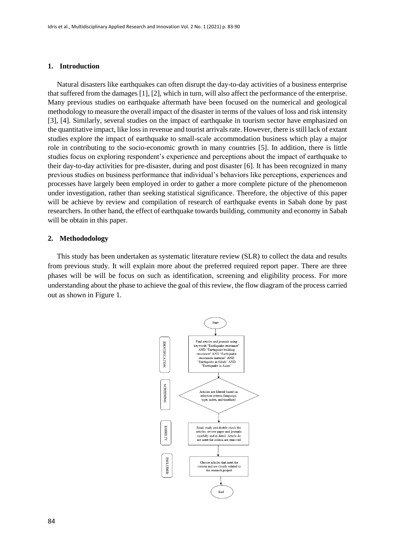#### **1. Introduction**

 Natural disasters like earthquakes can often disrupt the day-to-day activities of a business enterprise that suffered from the damages [1], [2], which in turn, will also affect the performance of the enterprise. Many previous studies on earthquake aftermath have been focused on the numerical and geological methodology to measure the overall impact of the disaster in terms of the values of loss and risk intensity [3], [4]. Similarly, several studies on the impact of earthquake in tourism sector have emphasized on the quantitative impact, like loss in revenue and tourist arrivals rate. However, there is still lack of extant studies explore the impact of earthquake to small-scale accommodation business which play a major role in contributing to the socio-economic growth in many countries [5]. In addition, there is little studies focus on exploring respondent's experience and perceptions about the impact of earthquake to their day-to-day activities for pre-disaster, during and post disaster [6]. It has been recognized in many previous studies on business performance that individual's behaviors like perceptions, experiences and processes have largely been employed in order to gather a more complete picture of the phenomenon under investigation, rather than seeking statistical significance. Therefore, the objective of this paper will be achieve by review and compilation of research of earthquake events in Sabah done by past researchers. In other hand, the effect of earthquake towards building, community and economy in Sabah will be obtain in this paper.

#### **2. Methododology**

 This study has been undertaken as systematic literature review (SLR) to collect the data and results from previous study. It will explain more about the preferred required report paper. There are three phases will be will be focus on such as identification, screening and eligibility process. For more understanding about the phase to achieve the goal of this review, the flow diagram of the process carried out as shown in Figure 1.

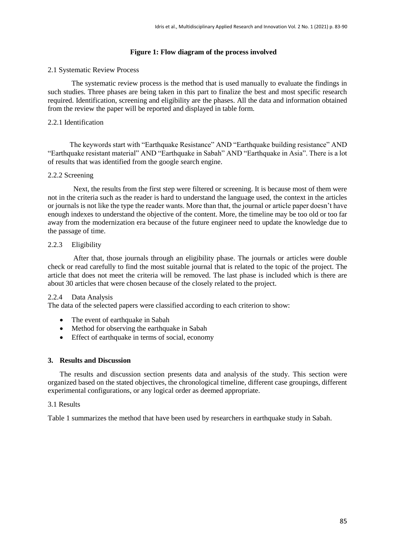# **Figure 1: Flow diagram of the process involved**

# 2.1 Systematic Review Process

The systematic review process is the method that is used manually to evaluate the findings in such studies. Three phases are being taken in this part to finalize the best and most specific research required. Identification, screening and eligibility are the phases. All the data and information obtained from the review the paper will be reported and displayed in table form.

# 2.2.1 Identification

 The keywords start with "Earthquake Resistance" AND "Earthquake building resistance" AND "Earthquake resistant material" AND "Earthquake in Sabah" AND "Earthquake in Asia". There is a lot of results that was identified from the google search engine.

### 2.2.2 Screening

 Next, the results from the first step were filtered or screening. It is because most of them were not in the criteria such as the reader is hard to understand the language used, the context in the articles or journals is not like the type the reader wants. More than that, the journal or article paper doesn't have enough indexes to understand the objective of the content. More, the timeline may be too old or too far away from the modernization era because of the future engineer need to update the knowledge due to the passage of time.

# 2.2.3 Eligibility

 After that, those journals through an eligibility phase. The journals or articles were double check or read carefully to find the most suitable journal that is related to the topic of the project. The article that does not meet the criteria will be removed. The last phase is included which is there are about 30 articles that were chosen because of the closely related to the project.

# 2.2.4 Data Analysis

The data of the selected papers were classified according to each criterion to show:

- The event of earthquake in Sabah
- Method for observing the earthquake in Sabah
- Effect of earthquake in terms of social, economy

# **3. Results and Discussion**

The results and discussion section presents data and analysis of the study. This section were organized based on the stated objectives, the chronological timeline, different case groupings, different experimental configurations, or any logical order as deemed appropriate.

#### 3.1 Results

Table 1 summarizes the method that have been used by researchers in earthquake study in Sabah.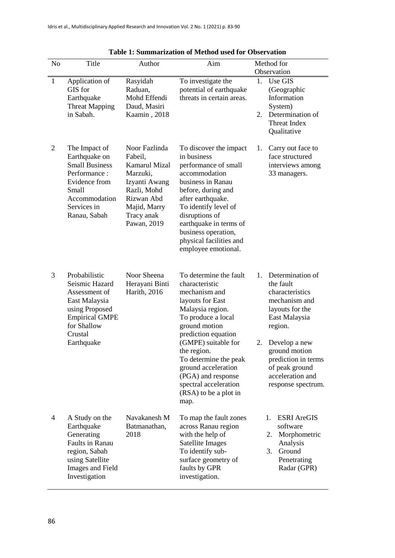| N <sub>0</sub> | Title                                                                                                                                                | Author                                                                                                                                                  | Aim                                                                                                                                                                                                                                                                                                                                   | Method for<br>Observation                                                                                                                                                                                                                                           |
|----------------|------------------------------------------------------------------------------------------------------------------------------------------------------|---------------------------------------------------------------------------------------------------------------------------------------------------------|---------------------------------------------------------------------------------------------------------------------------------------------------------------------------------------------------------------------------------------------------------------------------------------------------------------------------------------|---------------------------------------------------------------------------------------------------------------------------------------------------------------------------------------------------------------------------------------------------------------------|
| 1              | Application of<br>GIS for<br>Earthquake<br><b>Threat Mapping</b><br>in Sabah.                                                                        | Rasyidah<br>Raduan,<br>Mohd Effendi<br>Daud, Masiri<br>Kaamin, 2018                                                                                     | To investigate the<br>potential of earthquake<br>threats in certain areas.                                                                                                                                                                                                                                                            | Use GIS<br>1.<br>(Geographic<br>Information<br>System)<br>Determination of<br>2.<br><b>Threat Index</b><br>Qualitative                                                                                                                                              |
| $\overline{2}$ | The Impact of<br>Earthquake on<br><b>Small Business</b><br>Performance:<br>Evidence from<br>Small<br>Accommodation<br>Services in<br>Ranau, Sabah    | Noor Fazlinda<br>Fabeil,<br><b>Kamarul Mizal</b><br>Marzuki,<br>Izyanti Awang<br>Razli, Mohd<br>Rizwan Abd<br>Majid, Marry<br>Tracy anak<br>Pawan, 2019 | To discover the impact<br>in business<br>performance of small<br>accommodation<br>business in Ranau<br>before, during and<br>after earthquake.<br>To identify level of<br>disruptions of<br>earthquake in terms of<br>business operation,<br>physical facilities and<br>employee emotional.                                           | Carry out face to<br>1.<br>face structured<br>interviews among<br>33 managers.                                                                                                                                                                                      |
| 3              | Probabilistic<br>Seismic Hazard<br>Assessment of<br>East Malaysia<br>using Proposed<br><b>Empirical GMPE</b><br>for Shallow<br>Crustal<br>Earthquake | Noor Sheena<br>Herayani Binti<br>Harith, 2016                                                                                                           | To determine the fault<br>characteristic<br>mechanism and<br>layouts for East<br>Malaysia region.<br>To produce a local<br>ground motion<br>prediction equation<br>(GMPE) suitable for<br>the region.<br>To determine the peak<br>ground acceleration<br>(PGA) and response<br>spectral acceleration<br>(RSA) to be a plot in<br>map. | Determination of<br>$\mathbf{1}_{\cdot}$<br>the fault<br>characteristics<br>mechanism and<br>layouts for the<br>East Malaysia<br>region.<br>Develop a new<br>2.<br>ground motion<br>prediction in terms<br>of peak ground<br>acceleration and<br>response spectrum. |
| 4              | A Study on the<br>Earthquake<br>Generating<br><b>Faults in Ranau</b><br>region, Sabah<br>using Satellite<br>Images and Field<br>Investigation        | Navakanesh M<br>Batmanathan,<br>2018                                                                                                                    | To map the fault zones<br>across Ranau region<br>with the help of<br>Satellite Images<br>To identify sub-<br>surface geometry of<br>faults by GPR<br>investigation.                                                                                                                                                                   | <b>ESRI AreGIS</b><br>1.<br>software<br>Morphometric<br>2.<br>Analysis<br>3.<br>Ground<br>Penetrating<br>Radar (GPR)                                                                                                                                                |

| <b>Table 1: Summarization of Method used for Observation</b> |  |  |
|--------------------------------------------------------------|--|--|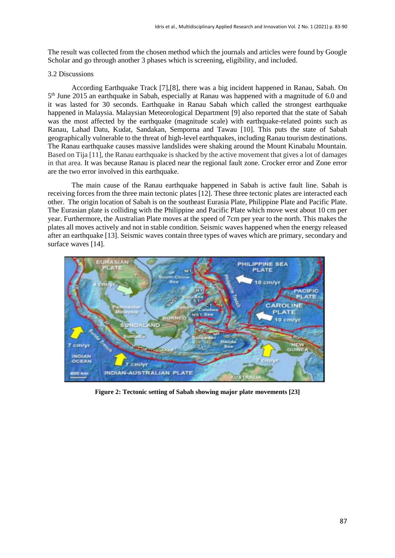The result was collected from the chosen method which the journals and articles were found by Google Scholar and go through another 3 phases which is screening, eligibility, and included.

#### 3.2 Discussions

According Earthquake Track [7],[8], there was a big incident happened in Ranau, Sabah. On 5<sup>th</sup> June 2015 an earthquake in Sabah, especially at Ranau was happened with a magnitude of 6.0 and it was lasted for 30 seconds. Earthquake in Ranau Sabah which called the strongest earthquake happened in Malaysia. Malaysian Meteorological Department [9] also reported that the state of Sabah was the most affected by the earthquake (magnitude scale) with earthquake-related points such as Ranau, Lahad Datu, Kudat, Sandakan, Semporna and Tawau [10]. This puts the state of Sabah geographically vulnerable to the threat of high-level earthquakes, including Ranau tourism destinations. The Ranau earthquake causes massive landslides were shaking around the Mount Kinabalu Mountain. Based on Tija [11], the Ranau earthquake is shacked by the active movement that gives a lot of damages in that area. It was because Ranau is placed near the regional fault zone. Crocker error and Zone error are the two error involved in this earthquake.

The main cause of the Ranau earthquake happened in Sabah is active fault line. Sabah is receiving forces from the three main tectonic plates [12]. These three tectonic plates are interacted each other. The origin location of Sabah is on the southeast Eurasia Plate, Philippine Plate and Pacific Plate. The Eurasian plate is colliding with the Philippine and Pacific Plate which move west about 10 cm per year. Furthermore, the Australian Plate moves at the speed of 7cm per year to the north. This makes the plates all moves actively and not in stable condition. Seismic waves happened when the energy released after an earthquake [13]. Seismic waves contain three types of waves which are primary, secondary and surface waves [14].



**Figure 2: Tectonic setting of Sabah showing major plate movements [23]**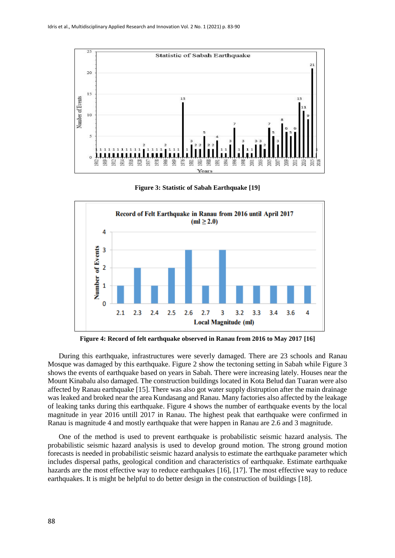

**Figure 3: Statistic of Sabah Earthquake [19]**



**Figure 4: Record of felt earthquake observed in Ranau from 2016 to May 2017 [16]**

 During this earthquake, infrastructures were severly damaged. There are 23 schools and Ranau Mosque was damaged by this earthquake. Figure 2 show the tectoning setting in Sabah while Figure 3 shows the events of earthquake based on years in Sabah. There were increasing lately. Houses near the Mount Kinabalu also damaged. The construction buildings located in Kota Belud dan Tuaran were also affected by Ranau earthquake [15]. There was also got water supply distruption after the main drainage was leaked and broked near the area Kundasang and Ranau. Many factories also affected by the leakage of leaking tanks during this earthquake. Figure 4 shows the number of earthquake events by the local magnitude in year 2016 untill 2017 in Ranau. The highest peak that earthquake were confirmed in Ranau is magnitude 4 and mostly earthquake that were happen in Ranau are 2.6 and 3 magnitude.

 One of the method is used to prevent earthquake is probabilistic seismic hazard analysis. The probabilistic seismic hazard analysis is used to develop ground motion. The strong ground motion forecasts is needed in probabilistic seismic hazard analysis to estimate the earthquake parameter which includes dispersal paths, geological condition and characteristics of earthquake. Estimate earthquake hazards are the most effective way to reduce earthquakes [16], [17]. The most effective way to reduce earthquakes. It is might be helpful to do better design in the construction of buildings [18].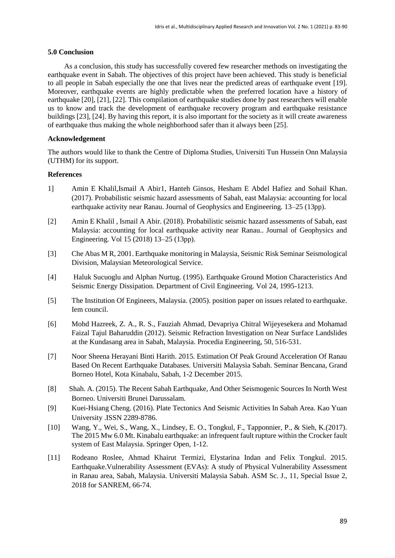#### **5.0 Conclusion**

 As a conclusion, this study has successfully covered few researcher methods on investigating the earthquake event in Sabah. The objectives of this project have been achieved. This study is beneficial to all people in Sabah especially the one that lives near the predicted areas of earthquake event [19]. Moreover, earthquake events are highly predictable when the preferred location have a history of earthquake [20], [21], [22]. This compilation of earthquake studies done by past researchers will enable us to know and track the development of earthquake recovery program and earthquake resistance buildings [23], [24]. By having this report, it is also important for the society as it will create awareness of earthquake thus making the whole neighborhood safer than it always been [25].

#### **Acknowledgement**

The authors would like to thank the Centre of Diploma Studies, Universiti Tun Hussein Onn Malaysia (UTHM) for its support.

#### **References**

- 1] Amin E Khalil,Ismail A Abir1, Hanteh Ginsos, Hesham E Abdel Hafiez and Sohail Khan. (2017). Probabilistic seismic hazard assessments of Sabah, east Malaysia: accounting for local earthquake activity near Ranau. Journal of Geophysics and Engineering. 13–25 (13pp).
- [2] Amin E Khalil , Ismail A Abir. (2018). Probabilistic seismic hazard assessments of Sabah, east Malaysia: accounting for local earthquake activity near Ranau.. Journal of Geophysics and Engineering. Vol 15 (2018) 13–25 (13pp).
- [3] Che Abas M R, 2001. Earthquake monitoring in Malaysia, Seismic Risk Seminar Seismological Division, Malaysian Meteorological Service.
- [4] Haluk Sucuoglu and Alphan Nurtug. (1995). Earthquake Ground Motion Characteristics And Seismic Energy Dissipation. Department of Civil Engineering. Vol 24, 1995-1213.
- [5] The Institution Of Engineers, Malaysia. (2005). position paper on issues related to earthquake. Iem council.
- [6] Mohd Hazreek, Z. A., R. S., Fauziah Ahmad, Devapriya Chitral Wijeyesekera and Mohamad Faizal Tajul Baharuddin (2012). Seismic Refraction Investigation on Near Surface Landslides at the Kundasang area in Sabah, Malaysia. Procedia Engineering, 50, 516-531.
- [7] Noor Sheena Herayani Binti Harith. 2015. Estimation Of Peak Ground Acceleration Of Ranau Based On Recent Earthquake Databases. Universiti Malaysia Sabah. Seminar Bencana, Grand Borneo Hotel, Kota Kinabalu, Sabah, 1-2 December 2015.
- [8] Shah. A. (2015). The Recent Sabah Earthquake, And Other Seismogenic Sources In North West Borneo. Universiti Brunei Darussalam.
- [9] Kuei-Hsiang Cheng. (2016). Plate Tectonics And Seismic Activities In Sabah Area. Kao Yuan University .ISSN 2289-8786.
- [10] Wang, Y., Wei, S., Wang, X., Lindsey, E. O., Tongkul, F., Tapponnier, P., & Sieh, K.(2017). The 2015 Mw 6.0 Mt. Kinabalu earthquake: an infrequent fault rupture within the Crocker fault system of East Malaysia. Springer Open, 1-12.
- [11] Rodeano Roslee, Ahmad Khairut Termizi, Elystarina Indan and Felix Tongkul. 2015. Earthquake.Vulnerability Assessment (EVAs): A study of Physical Vulnerability Assessment in Ranau area, Sabah, Malaysia. Universiti Malaysia Sabah. ASM Sc. J., 11, Special Issue 2, 2018 for SANREM, 66-74.